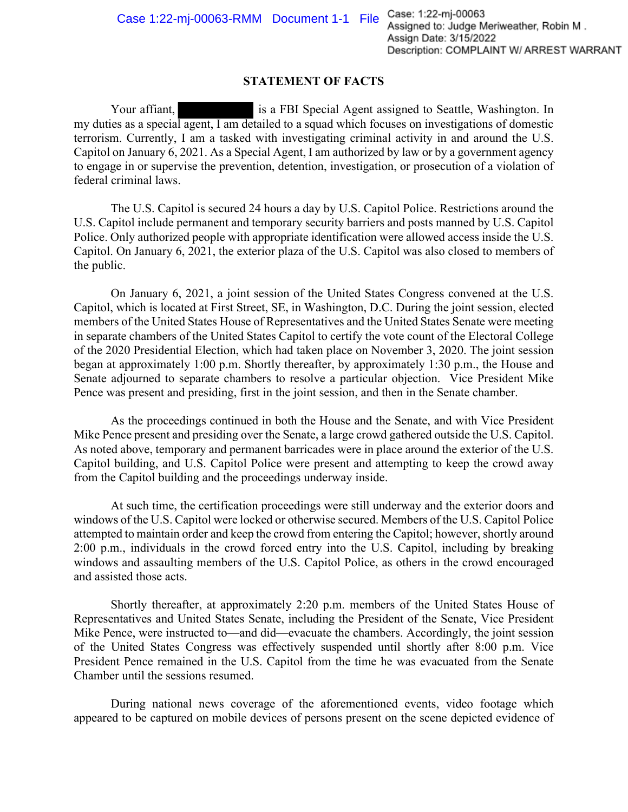## **STATEMENT OF FACTS**

Your affiant, is a FBI Special Agent assigned to Seattle, Washington. In my duties as a special agent, I am detailed to a squad which focuses on investigations of domestic terrorism. Currently, I am a tasked with investigating criminal activity in and around the U.S. Capitol on January 6, 2021. As a Special Agent, I am authorized by law or by a government agency to engage in or supervise the prevention, detention, investigation, or prosecution of a violation of federal criminal laws.

The U.S. Capitol is secured 24 hours a day by U.S. Capitol Police. Restrictions around the U.S. Capitol include permanent and temporary security barriers and posts manned by U.S. Capitol Police. Only authorized people with appropriate identification were allowed access inside the U.S. Capitol. On January 6, 2021, the exterior plaza of the U.S. Capitol was also closed to members of the public.

On January 6, 2021, a joint session of the United States Congress convened at the U.S. Capitol, which is located at First Street, SE, in Washington, D.C. During the joint session, elected members of the United States House of Representatives and the United States Senate were meeting in separate chambers of the United States Capitol to certify the vote count of the Electoral College of the 2020 Presidential Election, which had taken place on November 3, 2020. The joint session began at approximately 1:00 p.m. Shortly thereafter, by approximately 1:30 p.m., the House and Senate adjourned to separate chambers to resolve a particular objection. Vice President Mike Pence was present and presiding, first in the joint session, and then in the Senate chamber.

As the proceedings continued in both the House and the Senate, and with Vice President Mike Pence present and presiding over the Senate, a large crowd gathered outside the U.S. Capitol. As noted above, temporary and permanent barricades were in place around the exterior of the U.S. Capitol building, and U.S. Capitol Police were present and attempting to keep the crowd away from the Capitol building and the proceedings underway inside.

At such time, the certification proceedings were still underway and the exterior doors and windows of the U.S. Capitol were locked or otherwise secured. Members of the U.S. Capitol Police attempted to maintain order and keep the crowd from entering the Capitol; however, shortly around 2:00 p.m., individuals in the crowd forced entry into the U.S. Capitol, including by breaking windows and assaulting members of the U.S. Capitol Police, as others in the crowd encouraged and assisted those acts.

Shortly thereafter, at approximately 2:20 p.m. members of the United States House of Representatives and United States Senate, including the President of the Senate, Vice President Mike Pence, were instructed to—and did—evacuate the chambers. Accordingly, the joint session of the United States Congress was effectively suspended until shortly after 8:00 p.m. Vice President Pence remained in the U.S. Capitol from the time he was evacuated from the Senate Chamber until the sessions resumed.

During national news coverage of the aforementioned events, video footage which appeared to be captured on mobile devices of persons present on the scene depicted evidence of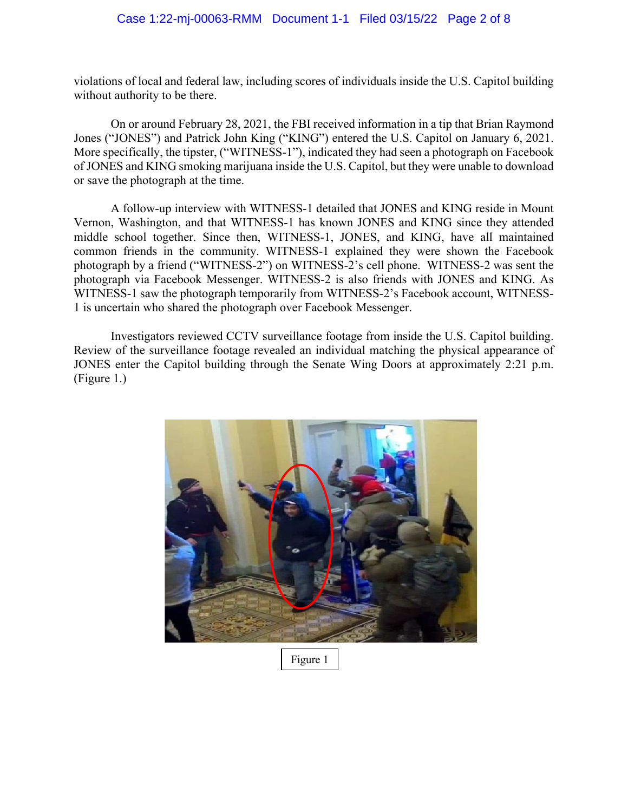## Case 1:22-mj-00063-RMM Document 1-1 Filed 03/15/22 Page 2 of 8

violations of local and federal law, including scores of individuals inside the U.S. Capitol building without authority to be there.

On or around February 28, 2021, the FBI received information in a tip that Brian Raymond Jones ("JONES") and Patrick John King ("KING") entered the U.S. Capitol on January 6, 2021. More specifically, the tipster, ("WITNESS-1"), indicated they had seen a photograph on Facebook of JONES and KING smoking marijuana inside the U.S. Capitol, but they were unable to download or save the photograph at the time.

A follow-up interview with WITNESS-1 detailed that JONES and KING reside in Mount Vernon, Washington, and that WITNESS-1 has known JONES and KING since they attended middle school together. Since then, WITNESS-1, JONES, and KING, have all maintained common friends in the community. WITNESS-1 explained they were shown the Facebook photograph by a friend ("WITNESS-2") on WITNESS-2's cell phone. WITNESS-2 was sent the photograph via Facebook Messenger. WITNESS-2 is also friends with JONES and KING. As WITNESS-1 saw the photograph temporarily from WITNESS-2's Facebook account, WITNESS-1 is uncertain who shared the photograph over Facebook Messenger.

Investigators reviewed CCTV surveillance footage from inside the U.S. Capitol building. Review of the surveillance footage revealed an individual matching the physical appearance of JONES enter the Capitol building through the Senate Wing Doors at approximately 2:21 p.m. (Figure 1.)



Figure 1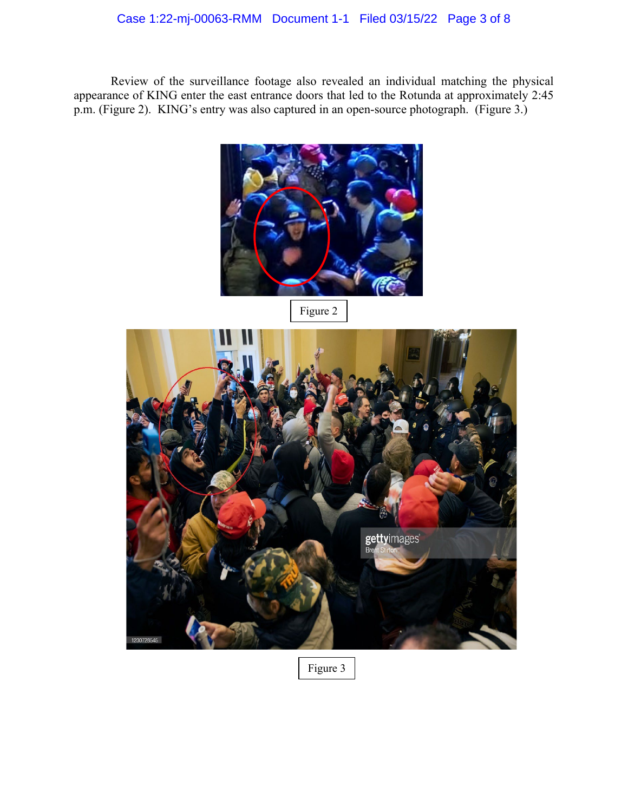## Case 1:22-mj-00063-RMM Document 1-1 Filed 03/15/22 Page 3 of 8

Review of the surveillance footage also revealed an individual matching the physical appearance of KING enter the east entrance doors that led to the Rotunda at approximately 2:45 p.m. (Figure 2). KING's entry was also captured in an open-source photograph. (Figure 3.)



Figure 2



Figure 3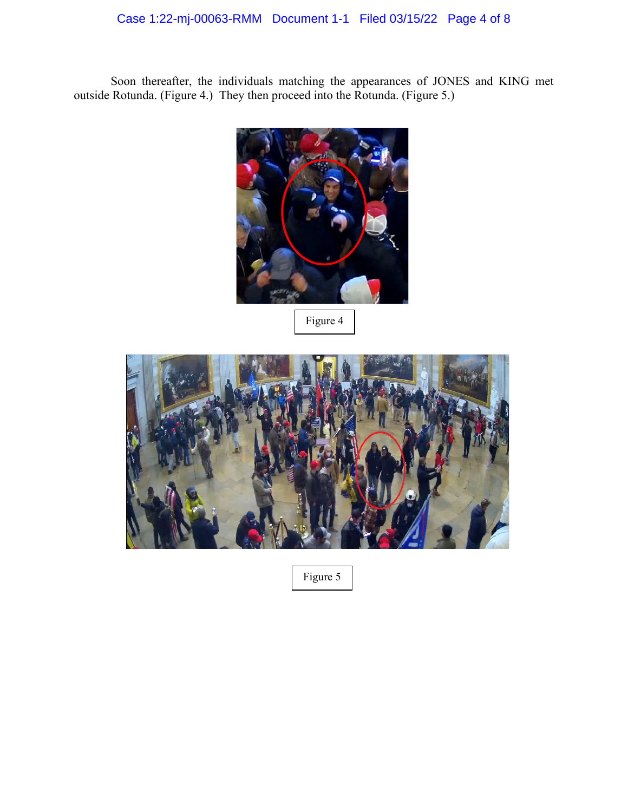## Case 1:22-mj-00063-RMM Document 1-1 Filed 03/15/22 Page 4 of 8

Soon thereafter, the individuals matching the appearances of JONES and KING met outside Rotunda. (Figure 4.) They then proceed into the Rotunda. (Figure 5.)



Figure 4



Figure 5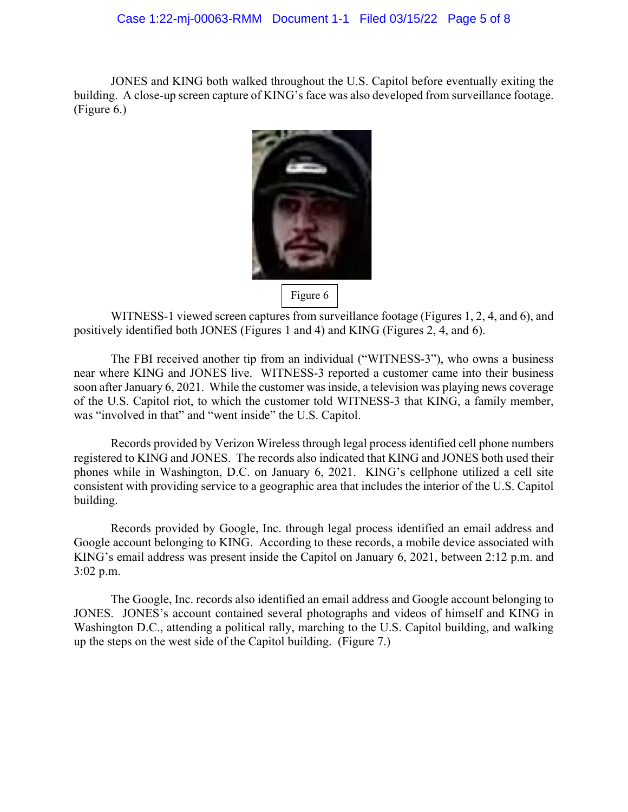JONES and KING both walked throughout the U.S. Capitol before eventually exiting the building. A close-up screen capture of KING's face was also developed from surveillance footage. (Figure 6.)



WITNESS-1 viewed screen captures from surveillance footage (Figures 1, 2, 4, and 6), and positively identified both JONES (Figures 1 and 4) and KING (Figures 2, 4, and 6).

The FBI received another tip from an individual ("WITNESS-3"), who owns a business near where KING and JONES live. WITNESS-3 reported a customer came into their business soon after January 6, 2021. While the customer was inside, a television was playing news coverage of the U.S. Capitol riot, to which the customer told WITNESS-3 that KING, a family member, was "involved in that" and "went inside" the U.S. Capitol.

Records provided by Verizon Wireless through legal process identified cell phone numbers registered to KING and JONES. The records also indicated that KING and JONES both used their phones while in Washington, D.C. on January 6, 2021. KING's cellphone utilized a cell site consistent with providing service to a geographic area that includes the interior of the U.S. Capitol building.

Records provided by Google, Inc. through legal process identified an email address and Google account belonging to KING. According to these records, a mobile device associated with KING's email address was present inside the Capitol on January 6, 2021, between 2:12 p.m. and 3:02 p.m.

The Google, Inc. records also identified an email address and Google account belonging to JONES. JONES's account contained several photographs and videos of himself and KING in Washington D.C., attending a political rally, marching to the U.S. Capitol building, and walking up the steps on the west side of the Capitol building. (Figure 7.)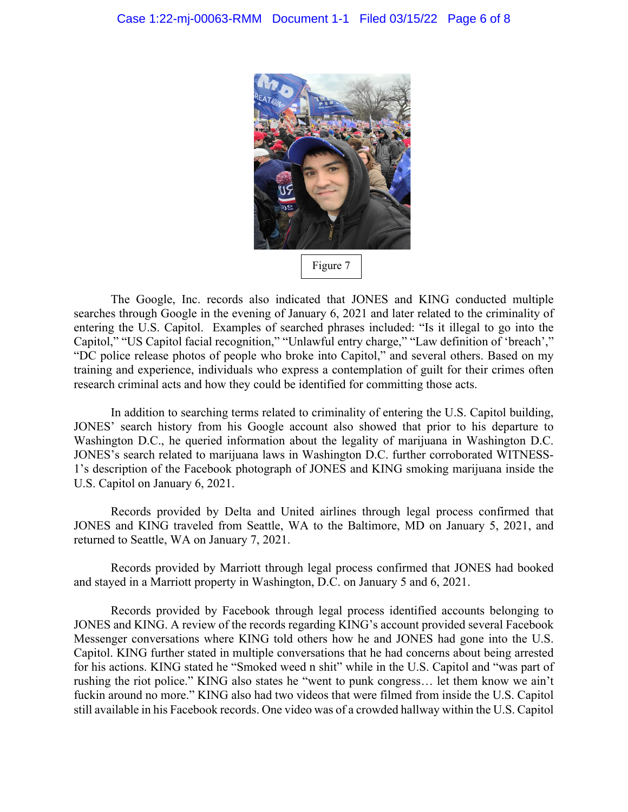

The Google, Inc. records also indicated that JONES and KING conducted multiple searches through Google in the evening of January 6, 2021 and later related to the criminality of entering the U.S. Capitol. Examples of searched phrases included: "Is it illegal to go into the Capitol," "US Capitol facial recognition," "Unlawful entry charge," "Law definition of 'breach'," "DC police release photos of people who broke into Capitol," and several others. Based on my training and experience, individuals who express a contemplation of guilt for their crimes often research criminal acts and how they could be identified for committing those acts.

In addition to searching terms related to criminality of entering the U.S. Capitol building, JONES' search history from his Google account also showed that prior to his departure to Washington D.C., he queried information about the legality of marijuana in Washington D.C. JONES's search related to marijuana laws in Washington D.C. further corroborated WITNESS-1's description of the Facebook photograph of JONES and KING smoking marijuana inside the U.S. Capitol on January 6, 2021.

Records provided by Delta and United airlines through legal process confirmed that JONES and KING traveled from Seattle, WA to the Baltimore, MD on January 5, 2021, and returned to Seattle, WA on January 7, 2021.

Records provided by Marriott through legal process confirmed that JONES had booked and stayed in a Marriott property in Washington, D.C. on January 5 and 6, 2021.

Records provided by Facebook through legal process identified accounts belonging to JONES and KING. A review of the records regarding KING's account provided several Facebook Messenger conversations where KING told others how he and JONES had gone into the U.S. Capitol. KING further stated in multiple conversations that he had concerns about being arrested for his actions. KING stated he "Smoked weed n shit" while in the U.S. Capitol and "was part of rushing the riot police." KING also states he "went to punk congress… let them know we ain't fuckin around no more." KING also had two videos that were filmed from inside the U.S. Capitol still available in his Facebook records. One video was of a crowded hallway within the U.S. Capitol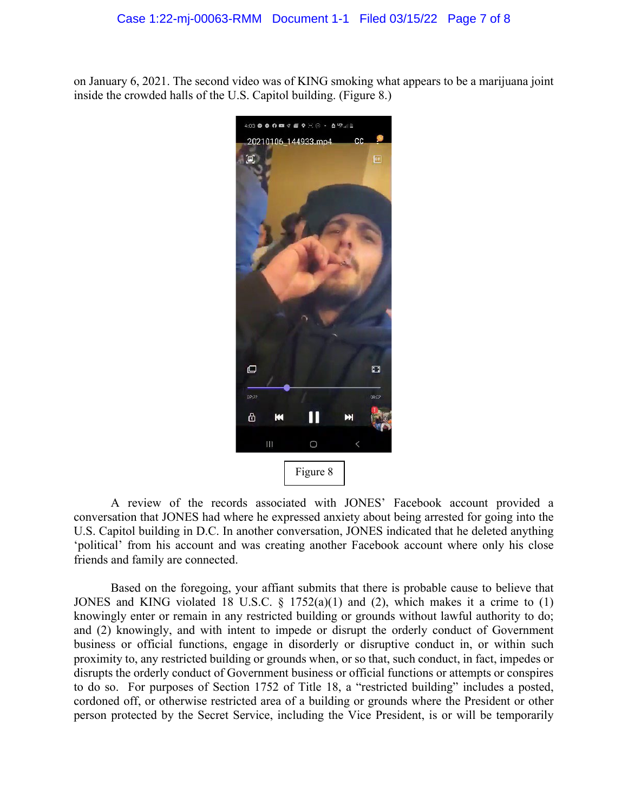on January 6, 2021. The second video was of KING smoking what appears to be a marijuana joint inside the crowded halls of the U.S. Capitol building. (Figure 8.)



A review of the records associated with JONES' Facebook account provided a conversation that JONES had where he expressed anxiety about being arrested for going into the U.S. Capitol building in D.C. In another conversation, JONES indicated that he deleted anything 'political' from his account and was creating another Facebook account where only his close friends and family are connected.

Based on the foregoing, your affiant submits that there is probable cause to believe that JONES and KING violated 18 U.S.C.  $\S$  1752(a)(1) and (2), which makes it a crime to (1) knowingly enter or remain in any restricted building or grounds without lawful authority to do; and (2) knowingly, and with intent to impede or disrupt the orderly conduct of Government business or official functions, engage in disorderly or disruptive conduct in, or within such proximity to, any restricted building or grounds when, or so that, such conduct, in fact, impedes or disrupts the orderly conduct of Government business or official functions or attempts or conspires to do so. For purposes of Section 1752 of Title 18, a "restricted building" includes a posted, cordoned off, or otherwise restricted area of a building or grounds where the President or other person protected by the Secret Service, including the Vice President, is or will be temporarily